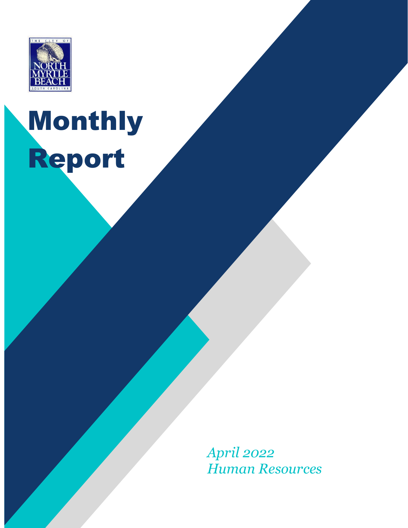

# Monthly Report

*April 2022 Human Resources*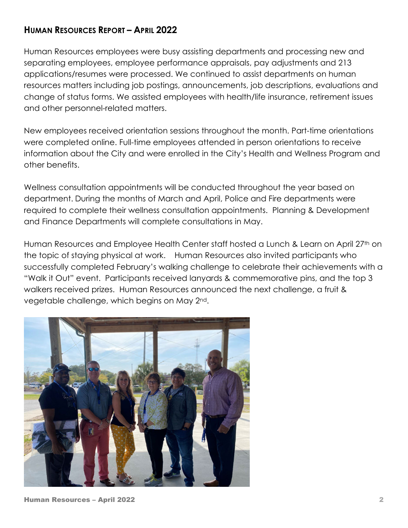#### **HUMAN RESOURCES REPORT – APRIL 2022**

Human Resources employees were busy assisting departments and processing new and separating employees, employee performance appraisals, pay adjustments and 213 applications/resumes were processed. We continued to assist departments on human resources matters including job postings, announcements, job descriptions, evaluations and change of status forms. We assisted employees with health/life insurance, retirement issues and other personnel-related matters.

New employees received orientation sessions throughout the month. Part-time orientations were completed online. Full-time employees attended in person orientations to receive information about the City and were enrolled in the City's Health and Wellness Program and other benefits.

Wellness consultation appointments will be conducted throughout the year based on department. During the months of March and April, Police and Fire departments were required to complete their wellness consultation appointments. Planning & Development and Finance Departments will complete consultations in May.

Human Resources and Employee Health Center staff hosted a Lunch & Learn on April 27th on the topic of staying physical at work. Human Resources also invited participants who successfully completed February's walking challenge to celebrate their achievements with a "Walk it Out" event. Participants received lanyards & commemorative pins, and the top 3 walkers received prizes. Human Resources announced the next challenge, a fruit & vegetable challenge, which begins on May 2nd.

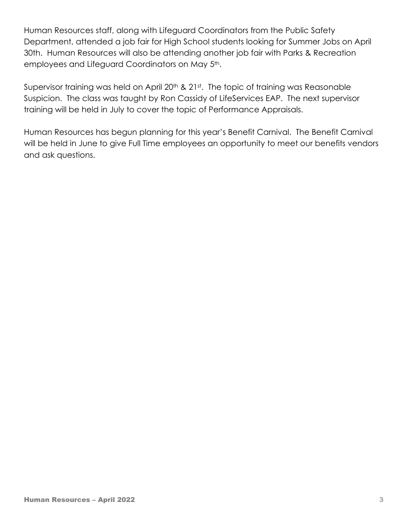Human Resources staff, along with Lifeguard Coordinators from the Public Safety Department, attended a job fair for High School students looking for Summer Jobs on April 30th. Human Resources will also be attending another job fair with Parks & Recreation employees and Lifeguard Coordinators on May 5<sup>th</sup>.

Supervisor training was held on April 20<sup>th</sup> & 21st. The topic of training was Reasonable Suspicion. The class was taught by Ron Cassidy of LifeServices EAP. The next supervisor training will be held in July to cover the topic of Performance Appraisals.

Human Resources has begun planning for this year's Benefit Carnival. The Benefit Carnival will be held in June to give Full Time employees an opportunity to meet our benefits vendors and ask questions.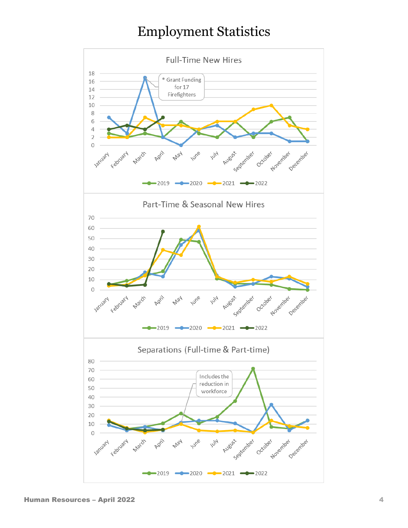## Employment Statistics

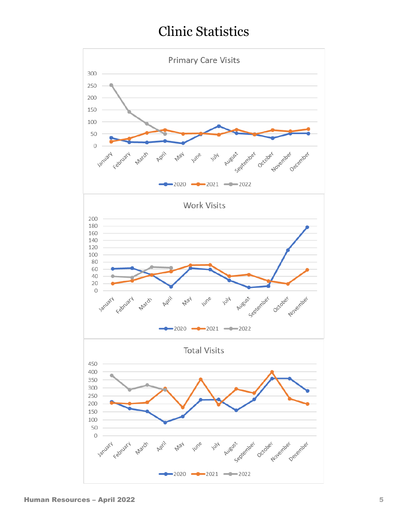### Clinic Statistics